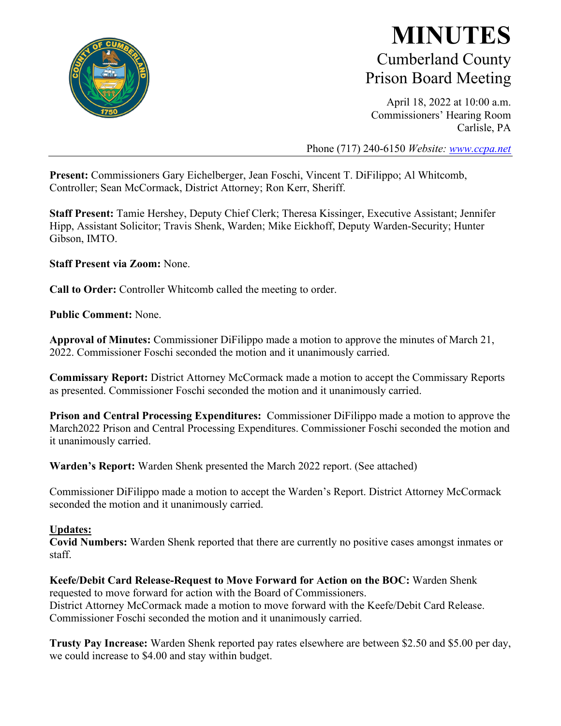

### **MINUTES** Cumberland County Prison Board Meeting

April 18, 2022 at 10:00 a.m. Commissioners' Hearing Room Carlisle, PA

Phone (717) 240-6150 *Website: [www.ccpa.net](http://www.ccpa.net/)*

**Present:** Commissioners Gary Eichelberger, Jean Foschi, Vincent T. DiFilippo; Al Whitcomb, Controller; Sean McCormack, District Attorney; Ron Kerr, Sheriff.

**Staff Present:** Tamie Hershey, Deputy Chief Clerk; Theresa Kissinger, Executive Assistant; Jennifer Hipp, Assistant Solicitor; Travis Shenk, Warden; Mike Eickhoff, Deputy Warden-Security; Hunter Gibson, IMTO.

**Staff Present via Zoom:** None.

**Call to Order:** Controller Whitcomb called the meeting to order.

**Public Comment:** None.

**Approval of Minutes:** Commissioner DiFilippo made a motion to approve the minutes of March 21, 2022. Commissioner Foschi seconded the motion and it unanimously carried.

**Commissary Report:** District Attorney McCormack made a motion to accept the Commissary Reports as presented. Commissioner Foschi seconded the motion and it unanimously carried.

**Prison and Central Processing Expenditures:** Commissioner DiFilippo made a motion to approve the March2022 Prison and Central Processing Expenditures. Commissioner Foschi seconded the motion and it unanimously carried.

**Warden's Report:** Warden Shenk presented the March 2022 report. (See attached)

Commissioner DiFilippo made a motion to accept the Warden's Report. District Attorney McCormack seconded the motion and it unanimously carried.

#### **Updates:**

**Covid Numbers:** Warden Shenk reported that there are currently no positive cases amongst inmates or staff.

**Keefe/Debit Card Release-Request to Move Forward for Action on the BOC:** Warden Shenk requested to move forward for action with the Board of Commissioners. District Attorney McCormack made a motion to move forward with the Keefe/Debit Card Release. Commissioner Foschi seconded the motion and it unanimously carried.

**Trusty Pay Increase:** Warden Shenk reported pay rates elsewhere are between \$2.50 and \$5.00 per day, we could increase to \$4.00 and stay within budget.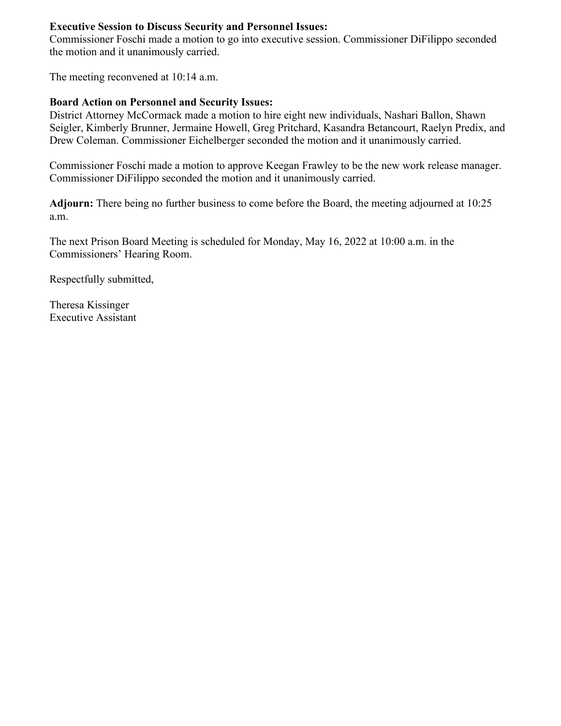### **Executive Session to Discuss Security and Personnel Issues:**

Commissioner Foschi made a motion to go into executive session. Commissioner DiFilippo seconded the motion and it unanimously carried.

The meeting reconvened at 10:14 a.m.

### **Board Action on Personnel and Security Issues:**

District Attorney McCormack made a motion to hire eight new individuals, Nashari Ballon, Shawn Seigler, Kimberly Brunner, Jermaine Howell, Greg Pritchard, Kasandra Betancourt, Raelyn Predix, and Drew Coleman. Commissioner Eichelberger seconded the motion and it unanimously carried.

Commissioner Foschi made a motion to approve Keegan Frawley to be the new work release manager. Commissioner DiFilippo seconded the motion and it unanimously carried.

**Adjourn:** There being no further business to come before the Board, the meeting adjourned at 10:25 a.m.

The next Prison Board Meeting is scheduled for Monday, May 16, 2022 at 10:00 a.m. in the Commissioners' Hearing Room.

Respectfully submitted,

Theresa Kissinger Executive Assistant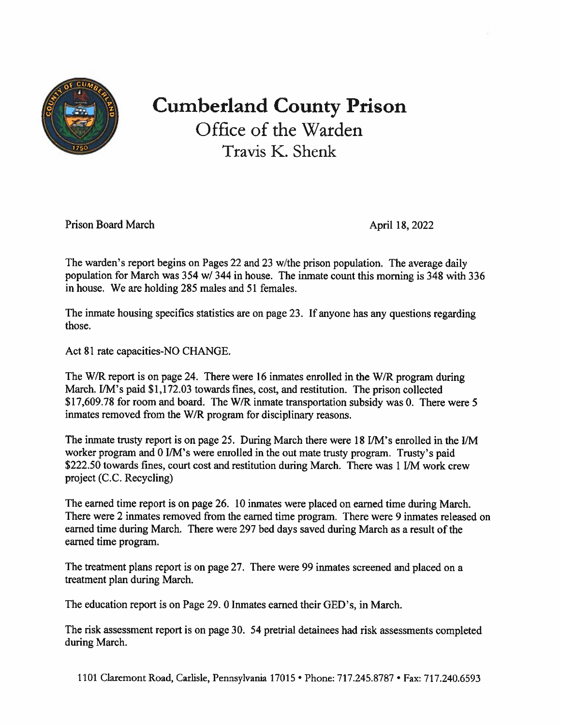

# **Cumberland County Prison** Office of the Warden Travis K. Shenk

**Prison Board March** 

April 18, 2022

The warden's report begins on Pages 22 and 23 w/the prison population. The average daily population for March was 354 w/344 in house. The inmate count this morning is 348 with 336 in house. We are holding 285 males and 51 females.

The inmate housing specifics statistics are on page 23. If anyone has any questions regarding those.

Act 81 rate capacities-NO CHANGE.

The W/R report is on page 24. There were 16 inmates enrolled in the W/R program during March. I/M's paid \$1,172.03 towards fines, cost, and restitution. The prison collected \$17,609.78 for room and board. The W/R inmate transportation subsidy was 0. There were 5 inmates removed from the W/R program for disciplinary reasons.

The inmate trusty report is on page 25. During March there were 18 I/M's enrolled in the I/M worker program and 0 I/M's were enrolled in the out mate trusty program. Trusty's paid \$222.50 towards fines, court cost and restitution during March. There was 1 I/M work crew project (C.C. Recycling)

The earned time report is on page 26. 10 inmates were placed on earned time during March. There were 2 inmates removed from the earned time program. There were 9 inmates released on earned time during March. There were 297 bed days saved during March as a result of the earned time program.

The treatment plans report is on page 27. There were 99 inmates screened and placed on a treatment plan during March.

The education report is on Page 29. 0 Inmates earned their GED's, in March.

The risk assessment report is on page 30. 54 pretrial detainees had risk assessments completed during March.

1101 Claremont Road, Carlisle, Pennsylvania 17015 • Phone: 717.245.8787 • Fax: 717.240.6593